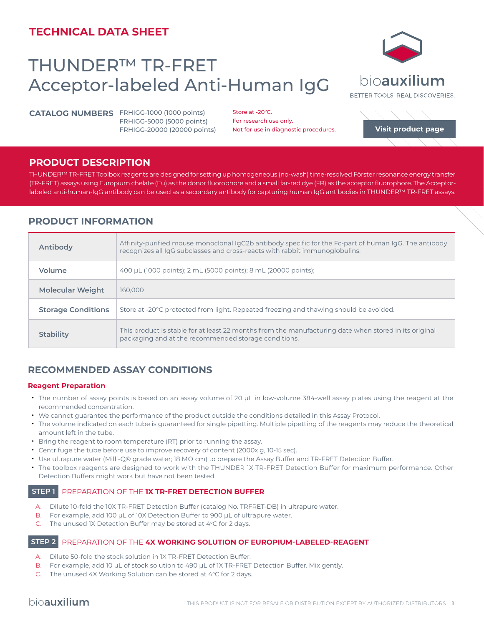# **TECHNICAL DATA SHEET**

# THUNDER™ TR-FRET Acceptor-labeled Anti-Human IgG

**CATALOG NUMBERS** FRHIGG-1000 (1000 points) FRHIGG-5000 (5000 points) FRHIGG-20000 (20000 points)

Store at -20°C. For research use only. Not for use in diagnostic procedures.

## **PRODUCT DESCRIPTION**

THUNDER™ TR-FRET Toolbox reagents are designed for setting up homogeneous (no-wash) time-resolved Förster resonance energy transfer (TR-FRET) assays using Europium chelate (Eu) as the donor fluorophore and a small far-red dye (FR) as the acceptor fluorophore. The Acceptorlabeled anti-human-IgG antibody can be used as a secondary antibody for capturing human IgG antibodies in THUNDER™ TR-FRET assays.

## **PRODUCT INFORMATION**

| Antibody                  | Affinity-purified mouse monoclonal IgG2b antibody specific for the Fc-part of human IgG. The antibody<br>recognizes all IgG subclasses and cross-reacts with rabbit immunoglobulins. |
|---------------------------|--------------------------------------------------------------------------------------------------------------------------------------------------------------------------------------|
| Volume                    | 400 µL (1000 points); 2 mL (5000 points); 8 mL (20000 points);                                                                                                                       |
| <b>Molecular Weight</b>   | 160,000                                                                                                                                                                              |
| <b>Storage Conditions</b> | Store at -20°C protected from light. Repeated freezing and thawing should be avoided.                                                                                                |
| <b>Stability</b>          | This product is stable for at least 22 months from the manufacturing date when stored in its original<br>packaging and at the recommended storage conditions.                        |

## **RECOMMENDED ASSAY CONDITIONS**

### **Reagent Preparation**

- The number of assay points is based on an assay volume of 20 μL in low-volume 384-well assay plates using the reagent at the recommended concentration.
- We cannot guarantee the performance of the product outside the conditions detailed in this Assay Protocol.
- The volume indicated on each tube is guaranteed for single pipetting. Multiple pipetting of the reagents may reduce the theoretical amount left in the tube.
- Bring the reagent to room temperature (RT) prior to running the assay.
- Centrifuge the tube before use to improve recovery of content (2000x g, 10-15 sec).
- Use ultrapure water (Milli-Q® grade water; 18 MΩ cm) to prepare the Assay Buffer and TR-FRET Detection Buffer.
- The toolbox reagents are designed to work with the THUNDER 1X TR-FRET Detection Buffer for maximum performance. Other Detection Buffers might work but have not been tested.

## **STEP 1** PREPARATION OF THE **1X TR-FRET DETECTION BUFFER**

- A. Dilute 10-fold the 10X TR-FRET Detection Buffer (catalog No. TRFRET-DB) in ultrapure water.
- B. For example, add 100 µL of 10X Detection Buffer to 900 µL of ultrapure water.
- C. The unused IX Detection Buffer may be stored at  $4^{\circ}$ C for 2 days.

### **STEP 2** PREPARATION OF THE **4X WORKING SOLUTION OF EUROPIUM-LABELED-REAGENT**

- A. Dilute 50-fold the stock solution in 1X TR-FRET Detection Buffer.
- B. For example, add 10 µL of stock solution to 490 µL of 1X TR-FRET Detection Buffer. Mix gently.
- C. The unused 4X Working Solution can be stored at 4°C for 2 days.



bioauxilium

BETTER TOOLS, REAL DISCOVERIES.

**[Visit product page](https://bioauxilium.com/product/thunder-tr-fret-acceptor-labeled-anti-human-igg/)**